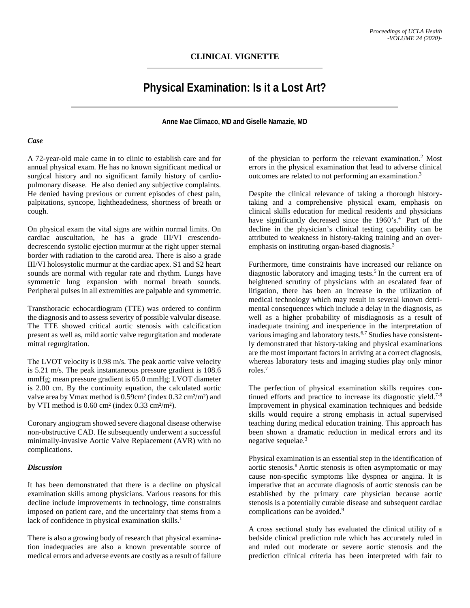## **CLINICAL VIGNETTE**

# **Physical Examination: Is it a Lost Art?**

**Anne Mae Climaco, MD and Giselle Namazie, MD**

#### *Case*

A 72-year-old male came in to clinic to establish care and for annual physical exam. He has no known significant medical or surgical history and no significant family history of cardiopulmonary disease. He also denied any subjective complaints. He denied having previous or current episodes of chest pain, palpitations, syncope, lightheadedness, shortness of breath or cough.

On physical exam the vital signs are within normal limits. On cardiac auscultation, he has a grade III/VI crescendodecrescendo systolic ejection murmur at the right upper sternal border with radiation to the carotid area. There is also a grade III/VI holosystolic murmur at the cardiac apex. S1 and S2 heart sounds are normal with regular rate and rhythm. Lungs have symmetric lung expansion with normal breath sounds. Peripheral pulses in all extremities are palpable and symmetric.

Transthoracic echocardiogram (TTE) was ordered to confirm the diagnosis and to assess severity of possible valvular disease. The TTE showed critical aortic stenosis with calcification present as well as, mild aortic valve regurgitation and moderate mitral regurgitation.

The LVOT velocity is 0.98 m/s. The peak aortic valve velocity is 5.21 m/s. The peak instantaneous pressure gradient is 108.6 mmHg; mean pressure gradient is 65.0 mmHg; LVOT diameter is 2.00 cm. By the continuity equation, the calculated aortic valve area by Vmax method is 0.59cm² (index 0.32 cm²/m²) and by VTI method is 0.60 cm² (index 0.33 cm²/m²).

Coronary angiogram showed severe diagonal disease otherwise non-obstructive CAD. He subsequently underwent a successful minimally-invasive Aortic Valve Replacement (AVR) with no complications.

#### *Discussion*

It has been demonstrated that there is a decline on physical examination skills among physicians. Various reasons for this decline include improvements in technology, time constraints imposed on patient care, and the uncertainty that stems from a lack of confidence in physical examination skills. $<sup>1</sup>$ </sup>

There is also a growing body of research that physical examination inadequacies are also a known preventable source of medical errors and adverse events are costly as a result of failure of the physician to perform the relevant examination.2 Most errors in the physical examination that lead to adverse clinical outcomes are related to not performing an examination. 3

Despite the clinical relevance of taking a thorough historytaking and a comprehensive physical exam, emphasis on clinical skills education for medical residents and physicians have significantly decreased since the 1960's.<sup>4</sup> Part of the decline in the physician's clinical testing capability can be attributed to weakness in history-taking training and an overemphasis on instituting organ-based diagnosis.<sup>3</sup>

Furthermore, time constraints have increased our reliance on diagnostic laboratory and imaging tests.<sup>5</sup> In the current era of heightened scrutiny of physicians with an escalated fear of litigation, there has been an increase in the utilization of medical technology which may result in several known detrimental consequences which include a delay in the diagnosis, as well as a higher probability of misdiagnosis as a result of inadequate training and inexperience in the interpretation of various imaging and laboratory tests.6,7 Studies have consistently demonstrated that history-taking and physical examinations are the most important factors in arriving at a correct diagnosis, whereas laboratory tests and imaging studies play only minor roles.7

The perfection of physical examination skills requires continued efforts and practice to increase its diagnostic yield.<sup>7-8</sup> Improvement in physical examination techniques and bedside skills would require a strong emphasis in actual supervised teaching during medical education training. This approach has been shown a dramatic reduction in medical errors and its negative sequelae.<sup>3</sup>

Physical examination is an essential step in the identification of aortic stenosis.<sup>8</sup> Aortic stenosis is often asymptomatic or may cause non-specific symptoms like dyspnea or angina. It is imperative that an accurate diagnosis of aortic stenosis can be established by the primary care physician because aortic stenosis is a potentially curable disease and subsequent cardiac complications can be avoided.<sup>9</sup>

A cross sectional study has evaluated the clinical utility of a bedside clinical prediction rule which has accurately ruled in and ruled out moderate or severe aortic stenosis and the prediction clinical criteria has been interpreted with fair to